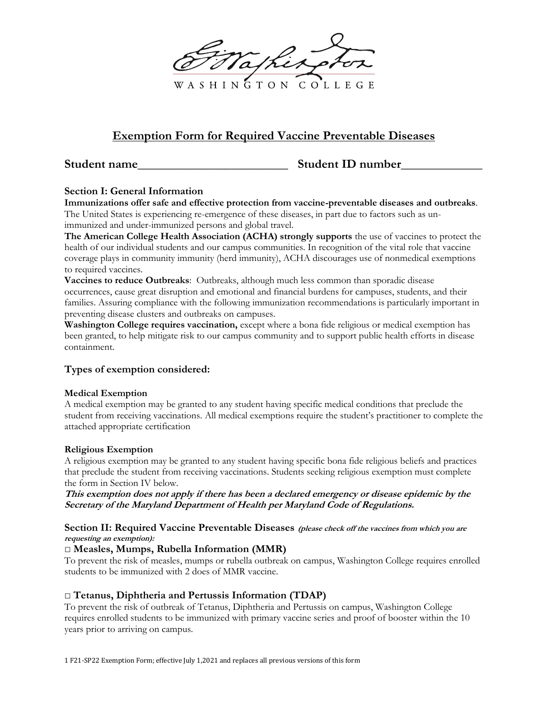A S H I N G T O N COLLEGE

# **Exemption Form for Required Vaccine Preventable Diseases**

**Student name** Student ID number

# **Section I: General Information**

**Immunizations offer safe and effective protection from vaccine-preventable diseases and outbreaks**. The United States is experiencing re-emergence of these diseases, in part due to factors such as unimmunized and under-immunized persons and global travel.

**The American College Health Association (ACHA) strongly supports** the use of vaccines to protect the health of our individual students and our campus communities. In recognition of the vital role that vaccine coverage plays in community immunity (herd immunity), ACHA discourages use of nonmedical exemptions to required vaccines.

**Vaccines to reduce Outbreaks**: Outbreaks, although much less common than sporadic disease occurrences, cause great disruption and emotional and financial burdens for campuses, students, and their families. Assuring compliance with the following immunization recommendations is particularly important in preventing disease clusters and outbreaks on campuses.

**Washington College requires vaccination,** except where a bona fide religious or medical exemption has been granted, to help mitigate risk to our campus community and to support public health efforts in disease containment.

# **Types of exemption considered:**

### **Medical Exemption**

A medical exemption may be granted to any student having specific medical conditions that preclude the student from receiving vaccinations. All medical exemptions require the student's practitioner to complete the attached appropriate certification

### **Religious Exemption**

A religious exemption may be granted to any student having specific bona fide religious beliefs and practices that preclude the student from receiving vaccinations. Students seeking religious exemption must complete the form in Section IV below.

**This exemption does not apply if there has been a declared emergency or disease epidemic by the Secretary of the Maryland Department of Health per Maryland Code of Regulations.**

#### **Section II: Required Vaccine Preventable Diseases (please check off the vaccines from which you are requesting an exemption):**

### □ **Measles, Mumps, Rubella Information (MMR)**

To prevent the risk of measles, mumps or rubella outbreak on campus, Washington College requires enrolled students to be immunized with 2 does of MMR vaccine.

# **□ Tetanus, Diphtheria and Pertussis Information (TDAP)**

To prevent the risk of outbreak of Tetanus, Diphtheria and Pertussis on campus, Washington College requires enrolled students to be immunized with primary vaccine series and proof of booster within the 10 years prior to arriving on campus.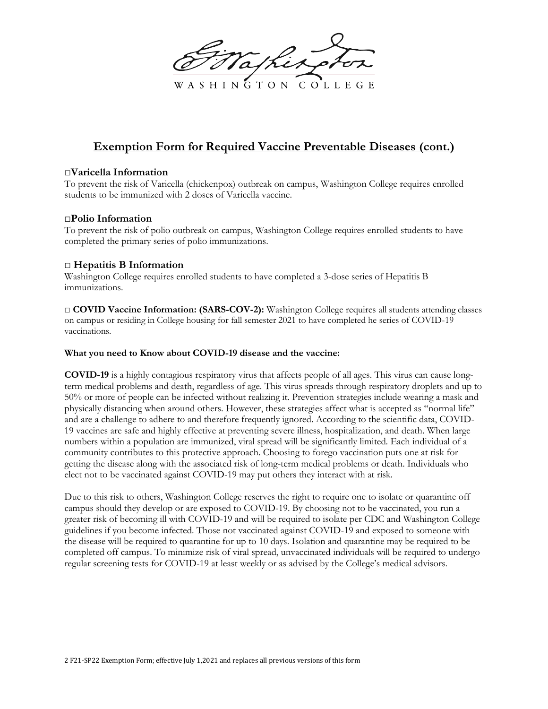

# **Exemption Form for Required Vaccine Preventable Diseases (cont.)**

## **□Varicella Information**

To prevent the risk of Varicella (chickenpox) outbreak on campus, Washington College requires enrolled students to be immunized with 2 doses of Varicella vaccine.

### **□Polio Information**

To prevent the risk of polio outbreak on campus, Washington College requires enrolled students to have completed the primary series of polio immunizations.

## **□ Hepatitis B Information**

Washington College requires enrolled students to have completed a 3-dose series of Hepatitis B immunizations.

□ **COVID Vaccine Information: (SARS-COV-2):** Washington College requires all students attending classes on campus or residing in College housing for fall semester 2021 to have completed he series of COVID-19 vaccinations.

### **What you need to Know about COVID-19 disease and the vaccine:**

**COVID-19** is a highly contagious respiratory virus that affects people of all ages. This virus can cause longterm medical problems and death, regardless of age. This virus spreads through respiratory droplets and up to 50% or more of people can be infected without realizing it. Prevention strategies include wearing a mask and physically distancing when around others. However, these strategies affect what is accepted as "normal life" and are a challenge to adhere to and therefore frequently ignored. According to the scientific data, COVID-19 vaccines are safe and highly effective at preventing severe illness, hospitalization, and death. When large numbers within a population are immunized, viral spread will be significantly limited. Each individual of a community contributes to this protective approach. Choosing to forego vaccination puts one at risk for getting the disease along with the associated risk of long-term medical problems or death. Individuals who elect not to be vaccinated against COVID-19 may put others they interact with at risk.

Due to this risk to others, Washington College reserves the right to require one to isolate or quarantine off campus should they develop or are exposed to COVID-19. By choosing not to be vaccinated, you run a greater risk of becoming ill with COVID-19 and will be required to isolate per CDC and Washington College guidelines if you become infected. Those not vaccinated against COVID-19 and exposed to someone with the disease will be required to quarantine for up to 10 days. Isolation and quarantine may be required to be completed off campus. To minimize risk of viral spread, unvaccinated individuals will be required to undergo regular screening tests for COVID-19 at least weekly or as advised by the College's medical advisors.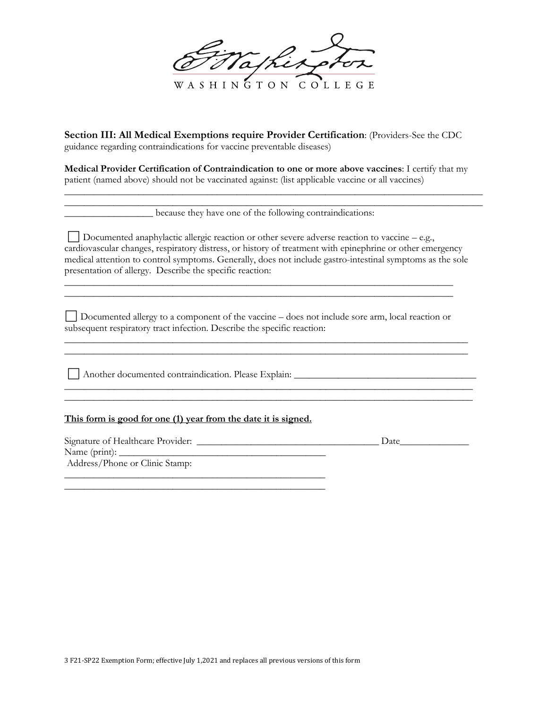atherpi **ASHINGTON** COLLEGE

**Section III: All Medical Exemptions require Provider Certification**: (Providers-See the CDC guidance regarding contraindications for vaccine preventable diseases)

**Medical Provider Certification of Contraindication to one or more above vaccines**: I certify that my patient (named above) should not be vaccinated against: (list applicable vaccine or all vaccines)

\_\_\_\_\_\_\_\_\_\_\_\_\_\_\_\_\_\_\_\_\_\_\_\_\_\_\_\_\_\_\_\_\_\_\_\_\_\_\_\_\_\_\_\_\_\_\_\_\_\_\_\_\_\_\_\_\_\_\_\_\_\_\_\_\_\_\_\_\_\_\_\_\_\_\_\_\_\_\_\_\_\_\_\_\_ \_\_\_\_\_\_\_\_\_\_\_\_\_\_\_\_\_\_\_\_\_\_\_\_\_\_\_\_\_\_\_\_\_\_\_\_\_\_\_\_\_\_\_\_\_\_\_\_\_\_\_\_\_\_\_\_\_\_\_\_\_\_\_\_\_\_\_\_\_\_\_\_\_\_\_\_\_\_\_\_\_\_\_\_\_

\_\_\_\_\_\_\_\_\_\_\_\_\_\_\_\_\_\_ because they have one of the following contraindications:

⬜ Documented anaphylactic allergic reaction or other severe adverse reaction to vaccine – e.g., cardiovascular changes, respiratory distress, or history of treatment with epinephrine or other emergency medical attention to control symptoms. Generally, does not include gastro-intestinal symptoms as the sole presentation of allergy. Describe the specific reaction:

□ Documented allergy to a component of the vaccine – does not include sore arm, local reaction or subsequent respiratory tract infection. Describe the specific reaction:

\_\_\_\_\_\_\_\_\_\_\_\_\_\_\_\_\_\_\_\_\_\_\_\_\_\_\_\_\_\_\_\_\_\_\_\_\_\_\_\_\_\_\_\_\_\_\_\_\_\_\_\_\_\_\_\_\_\_\_\_\_\_\_\_\_\_\_\_\_\_\_\_\_\_\_\_\_\_\_\_\_\_ \_\_\_\_\_\_\_\_\_\_\_\_\_\_\_\_\_\_\_\_\_\_\_\_\_\_\_\_\_\_\_\_\_\_\_\_\_\_\_\_\_\_\_\_\_\_\_\_\_\_\_\_\_\_\_\_\_\_\_\_\_\_\_\_\_\_\_\_\_\_\_\_\_\_\_\_\_\_\_\_\_\_

\_\_\_\_\_\_\_\_\_\_\_\_\_\_\_\_\_\_\_\_\_\_\_\_\_\_\_\_\_\_\_\_\_\_\_\_\_\_\_\_\_\_\_\_\_\_\_\_\_\_\_\_\_\_\_\_\_\_\_\_\_\_\_\_\_\_\_\_\_\_\_\_\_\_\_\_\_\_\_\_\_\_\_

\_\_\_\_\_\_\_\_\_\_\_\_\_\_\_\_\_\_\_\_\_\_\_\_\_\_\_\_\_\_\_\_\_\_\_\_\_\_\_\_\_\_\_\_\_\_\_\_\_\_\_\_\_\_\_\_\_\_\_\_\_\_\_\_\_\_\_\_\_\_\_\_\_\_\_\_\_\_\_\_\_\_\_

\_\_\_\_\_\_\_\_\_\_\_\_\_\_\_\_\_\_\_\_\_\_\_\_\_\_\_\_\_\_\_\_\_\_\_\_\_\_\_\_\_\_\_\_\_\_\_\_\_\_\_\_\_\_\_\_\_\_\_\_\_\_\_\_\_\_\_\_\_\_\_\_\_\_\_\_\_\_\_ \_\_\_\_\_\_\_\_\_\_\_\_\_\_\_\_\_\_\_\_\_\_\_\_\_\_\_\_\_\_\_\_\_\_\_\_\_\_\_\_\_\_\_\_\_\_\_\_\_\_\_\_\_\_\_\_\_\_\_\_\_\_\_\_\_\_\_\_\_\_\_\_\_\_\_\_\_\_\_

⬜ Another documented contraindication. Please Explain: \_\_\_\_\_\_\_\_\_\_\_\_\_\_\_\_\_\_\_\_\_\_\_\_\_\_\_\_\_\_\_\_\_\_\_\_\_

## **This form is good for one (1) year from the date it is signed.**

\_\_\_\_\_\_\_\_\_\_\_\_\_\_\_\_\_\_\_\_\_\_\_\_\_\_\_\_\_\_\_\_\_\_\_\_\_\_\_\_\_\_\_\_\_\_\_\_\_\_\_\_\_

Signature of Healthcare Provider: \_\_\_\_\_\_\_\_\_\_\_\_\_\_\_\_\_\_\_\_\_\_\_\_\_\_\_\_\_\_\_\_\_\_\_\_\_ Date\_\_\_\_\_\_\_\_\_\_\_\_\_\_ Name (print): \_\_\_\_\_\_\_\_\_\_\_\_\_\_\_\_\_\_\_\_\_\_\_\_\_\_\_\_\_\_\_\_\_\_\_\_\_\_\_\_\_\_ Address/Phone or Clinic Stamp: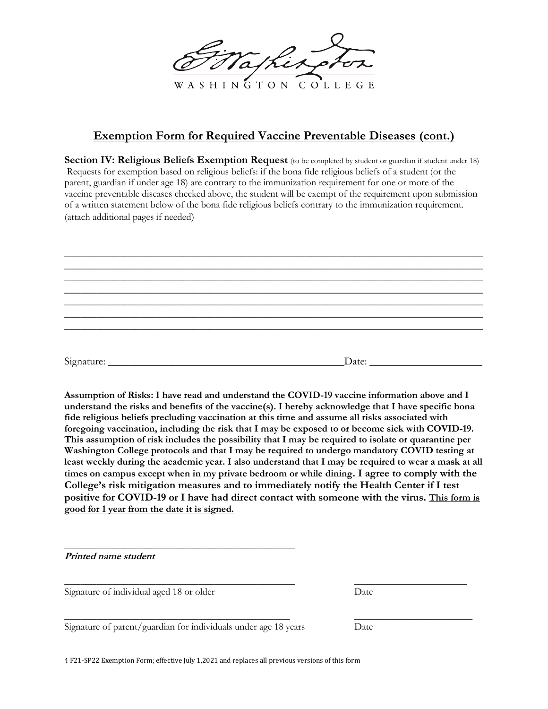

# **Exemption Form for Required Vaccine Preventable Diseases (cont.)**

**Section IV: Religious Beliefs Exemption Request** (to be completed by student or guardian if student under 18) Requests for exemption based on religious beliefs: if the bona fide religious beliefs of a student (or the parent, guardian if under age 18) are contrary to the immunization requirement for one or more of the vaccine preventable diseases checked above, the student will be exempt of the requirement upon submission of a written statement below of the bona fide religious beliefs contrary to the immunization requirement. (attach additional pages if needed)

| Signature: | Date: |
|------------|-------|

**Assumption of Risks: I have read and understand the COVID-19 vaccine information above and I understand the risks and benefits of the vaccine(s). I hereby acknowledge that I have specific bona fide religious beliefs precluding vaccination at this time and assume all risks associated with foregoing vaccination, including the risk that I may be exposed to or become sick with COVID-19. This assumption of risk includes the possibility that I may be required to isolate or quarantine per Washington College protocols and that I may be required to undergo mandatory COVID testing at least weekly during the academic year. I also understand that I may be required to wear a mask at all times on campus except when in my private bedroom or while dining. I agree to comply with the College's risk mitigation measures and to immediately notify the Health Center if I test positive for COVID-19 or I have had direct contact with someone with the virus. This form is good for 1 year from the date it is signed.**

| Printed name student                                            |      |  |
|-----------------------------------------------------------------|------|--|
| Signature of individual aged 18 or older                        | Date |  |
| Signature of parent/guardian for individuals under age 18 years | Date |  |

4 F21-SP22 Exemption Form; effective July 1,2021 and replaces all previous versions of this form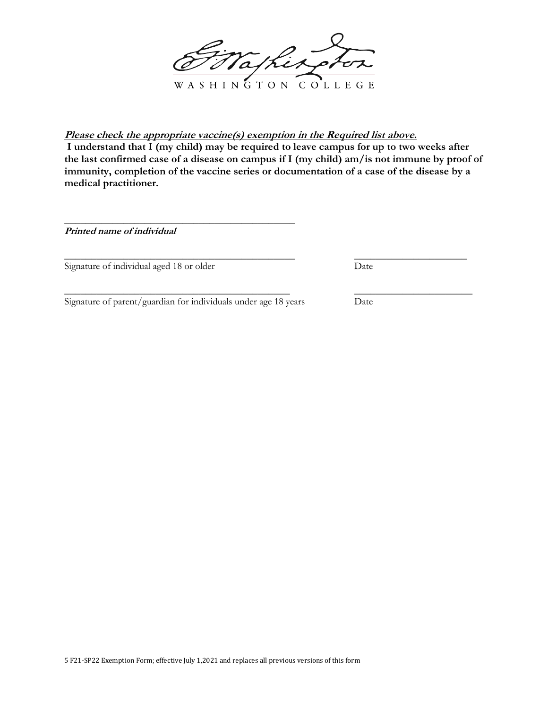Wathing WASHINGTON COLLEGE

**Please check the appropriate vaccine(s) exemption in the Required list above. I understand that I (my child) may be required to leave campus for up to two weeks after the last confirmed case of a disease on campus if I (my child) am/is not immune by proof of immunity, completion of the vaccine series or documentation of a case of the disease by a medical practitioner.**

 $\_$  , and the set of the set of the set of the set of the set of the set of the set of the set of the set of the set of the set of the set of the set of the set of the set of the set of the set of the set of the set of th

\_\_\_\_\_\_\_\_\_\_\_\_\_\_\_\_\_\_\_\_\_\_\_\_\_\_\_\_\_\_\_\_\_\_\_\_\_\_\_\_\_\_ \_\_\_\_\_\_\_\_\_\_\_\_\_\_\_\_\_\_\_\_\_\_

**Printed name of individual**

Signature of individual aged 18 or older Date

Signature of parent/guardian for individuals under age 18 years Date

\_\_\_\_\_\_\_\_\_\_\_\_\_\_\_\_\_\_\_\_\_\_\_\_\_\_\_\_\_\_\_\_\_\_\_\_\_\_\_\_\_\_\_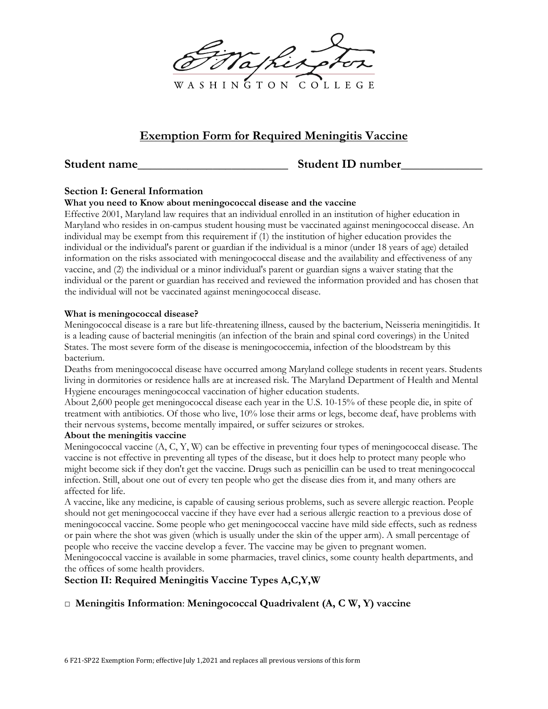

# **Exemption Form for Required Meningitis Vaccine**

# **Student name** Student ID number

# **Section I: General Information**

### **What you need to Know about meningococcal disease and the vaccine**

Effective 2001, Maryland law requires that an individual enrolled in an institution of higher education in Maryland who resides in on-campus student housing must be vaccinated against meningococcal disease. An individual may be exempt from this requirement if (1) the institution of higher education provides the individual or the individual's parent or guardian if the individual is a minor (under 18 years of age) detailed information on the risks associated with meningococcal disease and the availability and effectiveness of any vaccine, and (2) the individual or a minor individual's parent or guardian signs a waiver stating that the individual or the parent or guardian has received and reviewed the information provided and has chosen that the individual will not be vaccinated against meningococcal disease.

#### **What is meningococcal disease?**

Meningococcal disease is a rare but life-threatening illness, caused by the bacterium, Neisseria meningitidis. It is a leading cause of bacterial meningitis (an infection of the brain and spinal cord coverings) in the United States. The most severe form of the disease is meningococcemia, infection of the bloodstream by this bacterium.

Deaths from meningococcal disease have occurred among Maryland college students in recent years. Students living in dormitories or residence halls are at increased risk. The Maryland Department of Health and Mental Hygiene encourages meningococcal vaccination of higher education students.

About 2,600 people get meningococcal disease each year in the U.S. 10-15% of these people die, in spite of treatment with antibiotics. Of those who live, 10% lose their arms or legs, become deaf, have problems with their nervous systems, become mentally impaired, or suffer seizures or strokes.

### **About the meningitis vaccine**

Meningococcal vaccine (A, C, Y, W) can be effective in preventing four types of meningococcal disease. The vaccine is not effective in preventing all types of the disease, but it does help to protect many people who might become sick if they don't get the vaccine. Drugs such as penicillin can be used to treat meningococcal infection. Still, about one out of every ten people who get the disease dies from it, and many others are affected for life.

A vaccine, like any medicine, is capable of causing serious problems, such as severe allergic reaction. People should not get meningococcal vaccine if they have ever had a serious allergic reaction to a previous dose of meningococcal vaccine. Some people who get meningococcal vaccine have mild side effects, such as redness or pain where the shot was given (which is usually under the skin of the upper arm). A small percentage of people who receive the vaccine develop a fever. The vaccine may be given to pregnant women.

Meningococcal vaccine is available in some pharmacies, travel clinics, some county health departments, and the offices of some health providers.

# **Section II: Required Meningitis Vaccine Types A,C,Y,W**

# □ **Meningitis Information**: **Meningococcal Quadrivalent (A, C W, Y) vaccine**